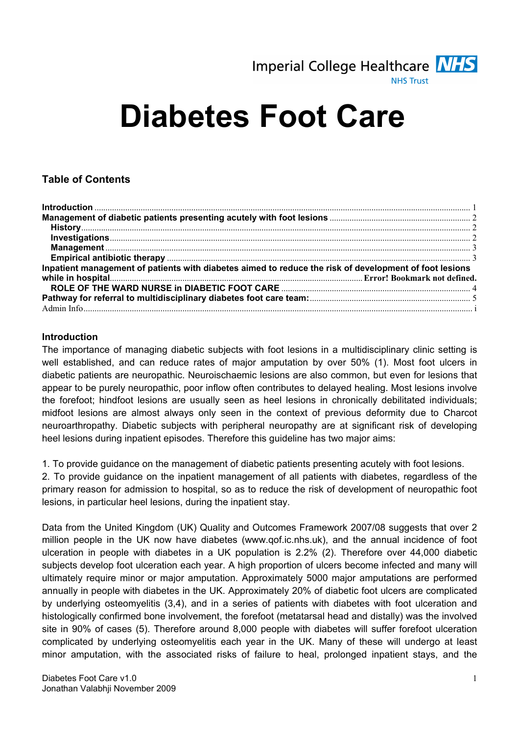

# Diabetes Foot Care

# Table of Contents

| Inpatient management of patients with diabetes aimed to reduce the risk of development of foot lesions |  |
|--------------------------------------------------------------------------------------------------------|--|
|                                                                                                        |  |
|                                                                                                        |  |
|                                                                                                        |  |
|                                                                                                        |  |

#### Introduction

The importance of managing diabetic subjects with foot lesions in a multidisciplinary clinic setting is well established, and can reduce rates of major amputation by over 50% (1). Most foot ulcers in diabetic patients are neuropathic. Neuroischaemic lesions are also common, but even for lesions that appear to be purely neuropathic, poor inflow often contributes to delayed healing. Most lesions involve the forefoot; hindfoot lesions are usually seen as heel lesions in chronically debilitated individuals; midfoot lesions are almost always only seen in the context of previous deformity due to Charcot neuroarthropathy. Diabetic subjects with peripheral neuropathy are at significant risk of developing heel lesions during inpatient episodes. Therefore this guideline has two major aims:

1. To provide guidance on the management of diabetic patients presenting acutely with foot lesions.

2. To provide guidance on the inpatient management of all patients with diabetes, regardless of the primary reason for admission to hospital, so as to reduce the risk of development of neuropathic foot lesions, in particular heel lesions, during the inpatient stay.

Data from the United Kingdom (UK) Quality and Outcomes Framework 2007/08 suggests that over 2 million people in the UK now have diabetes (www.qof.ic.nhs.uk), and the annual incidence of foot ulceration in people with diabetes in a UK population is 2.2% (2). Therefore over 44,000 diabetic subjects develop foot ulceration each year. A high proportion of ulcers become infected and many will ultimately require minor or major amputation. Approximately 5000 major amputations are performed annually in people with diabetes in the UK. Approximately 20% of diabetic foot ulcers are complicated by underlying osteomyelitis (3,4), and in a series of patients with diabetes with foot ulceration and histologically confirmed bone involvement, the forefoot (metatarsal head and distally) was the involved site in 90% of cases (5). Therefore around 8,000 people with diabetes will suffer forefoot ulceration complicated by underlying osteomyelitis each year in the UK. Many of these will undergo at least minor amputation, with the associated risks of failure to heal, prolonged inpatient stays, and the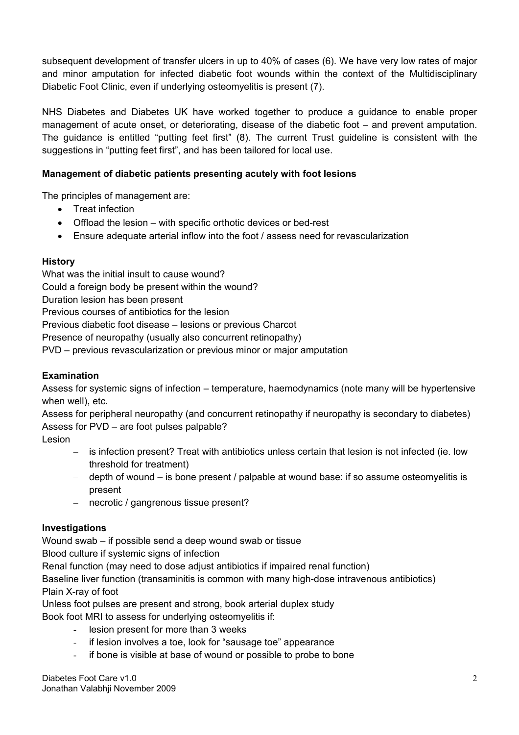subsequent development of transfer ulcers in up to 40% of cases (6). We have very low rates of major and minor amputation for infected diabetic foot wounds within the context of the Multidisciplinary Diabetic Foot Clinic, even if underlying osteomyelitis is present (7).

NHS Diabetes and Diabetes UK have worked together to produce a guidance to enable proper management of acute onset, or deteriorating, disease of the diabetic foot – and prevent amputation. The guidance is entitled "putting feet first" (8). The current Trust guideline is consistent with the suggestions in "putting feet first", and has been tailored for local use.

### Management of diabetic patients presenting acutely with foot lesions

The principles of management are:

- Treat infection
- Offload the lesion with specific orthotic devices or bed-rest
- Ensure adequate arterial inflow into the foot / assess need for revascularization

#### **History**

What was the initial insult to cause wound? Could a foreign body be present within the wound? Duration lesion has been present Previous courses of antibiotics for the lesion Previous diabetic foot disease – lesions or previous Charcot Presence of neuropathy (usually also concurrent retinopathy) PVD – previous revascularization or previous minor or major amputation

### Examination

Assess for systemic signs of infection – temperature, haemodynamics (note many will be hypertensive when well), etc.

Assess for peripheral neuropathy (and concurrent retinopathy if neuropathy is secondary to diabetes) Assess for PVD – are foot pulses palpable?

Lesion

- is infection present? Treat with antibiotics unless certain that lesion is not infected (ie. low threshold for treatment)
- depth of wound is bone present / palpable at wound base: if so assume osteomyelitis is present
- necrotic / gangrenous tissue present?

### Investigations

Wound swab – if possible send a deep wound swab or tissue

Blood culture if systemic signs of infection

Renal function (may need to dose adjust antibiotics if impaired renal function)

Baseline liver function (transaminitis is common with many high-dose intravenous antibiotics) Plain X-ray of foot

Unless foot pulses are present and strong, book arterial duplex study Book foot MRI to assess for underlying osteomyelitis if:

- lesion present for more than 3 weeks
- if lesion involves a toe, look for "sausage toe" appearance
- if bone is visible at base of wound or possible to probe to bone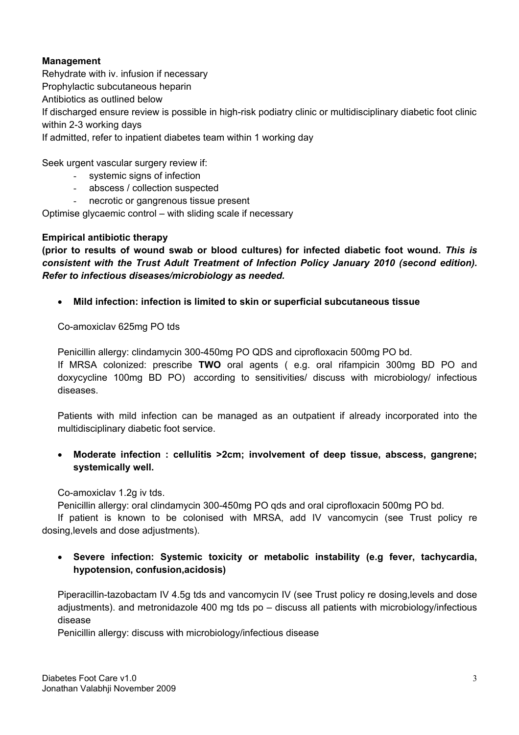# Management

Rehydrate with iv. infusion if necessary Prophylactic subcutaneous heparin Antibiotics as outlined below If discharged ensure review is possible in high-risk podiatry clinic or multidisciplinary diabetic foot clinic within 2-3 working days If admitted, refer to inpatient diabetes team within 1 working day

Seek urgent vascular surgery review if:

- systemic signs of infection
- abscess / collection suspected
- necrotic or gangrenous tissue present

Optimise glycaemic control – with sliding scale if necessary

### Empirical antibiotic therapy

(prior to results of wound swab or blood cultures) for infected diabetic foot wound. This is consistent with the Trust Adult Treatment of Infection Policy January 2010 (second edition). Refer to infectious diseases/microbiology as needed.

• Mild infection: infection is limited to skin or superficial subcutaneous tissue

Co-amoxiclav 625mg PO tds

Penicillin allergy: clindamycin 300-450mg PO QDS and ciprofloxacin 500mg PO bd. If MRSA colonized: prescribe TWO oral agents (e.g. oral rifampicin 300mg BD PO and doxycycline 100mg BD PO) according to sensitivities/ discuss with microbiology/ infectious diseases.

Patients with mild infection can be managed as an outpatient if already incorporated into the multidisciplinary diabetic foot service.

• Moderate infection : cellulitis >2cm; involvement of deep tissue, abscess, gangrene; systemically well.

Co-amoxiclav 1.2g iv tds.

Penicillin allergy: oral clindamycin 300-450mg PO qds and oral ciprofloxacin 500mg PO bd.

If patient is known to be colonised with MRSA, add IV vancomycin (see Trust policy re dosing,levels and dose adjustments).

Severe infection: Systemic toxicity or metabolic instability (e.g fever, tachycardia, hypotension, confusion,acidosis)

Piperacillin-tazobactam IV 4.5g tds and vancomycin IV (see Trust policy re dosing,levels and dose adjustments). and metronidazole 400 mg tds po – discuss all patients with microbiology/infectious disease

Penicillin allergy: discuss with microbiology/infectious disease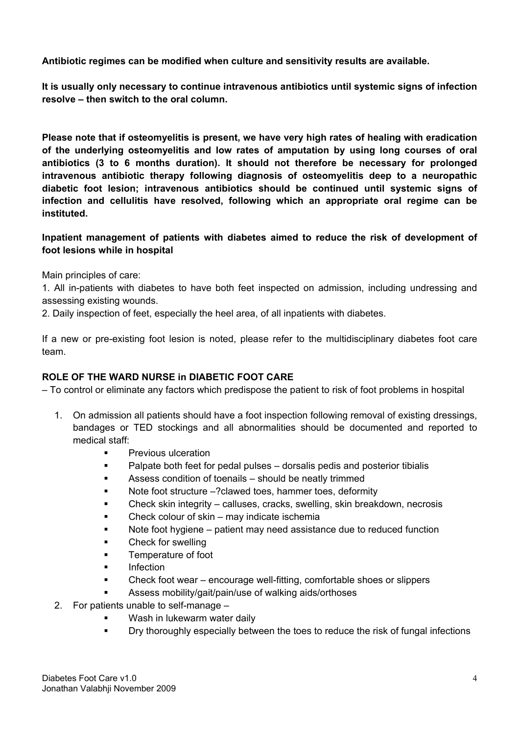Antibiotic regimes can be modified when culture and sensitivity results are available.

It is usually only necessary to continue intravenous antibiotics until systemic signs of infection resolve – then switch to the oral column.

Please note that if osteomyelitis is present, we have very high rates of healing with eradication of the underlying osteomyelitis and low rates of amputation by using long courses of oral antibiotics (3 to 6 months duration). It should not therefore be necessary for prolonged intravenous antibiotic therapy following diagnosis of osteomyelitis deep to a neuropathic diabetic foot lesion; intravenous antibiotics should be continued until systemic signs of infection and cellulitis have resolved, following which an appropriate oral regime can be instituted.

# Inpatient management of patients with diabetes aimed to reduce the risk of development of foot lesions while in hospital

Main principles of care:

1. All in-patients with diabetes to have both feet inspected on admission, including undressing and assessing existing wounds.

2. Daily inspection of feet, especially the heel area, of all inpatients with diabetes.

If a new or pre-existing foot lesion is noted, please refer to the multidisciplinary diabetes foot care team.

### ROLE OF THE WARD NURSE in DIABETIC FOOT CARE

– To control or eliminate any factors which predispose the patient to risk of foot problems in hospital

- 1. On admission all patients should have a foot inspection following removal of existing dressings, bandages or TED stockings and all abnormalities should be documented and reported to medical staff:
	- Previous ulceration
	- **•** Palpate both feet for pedal pulses dorsalis pedis and posterior tibialis
	- Assess condition of toenails should be neatly trimmed
	- Note foot structure –? clawed toes, hammer toes, deformity
	- Check skin integrity calluses, cracks, swelling, skin breakdown, necrosis
	- Check colour of skin may indicate ischemia
	- Note foot hygiene patient may need assistance due to reduced function
	- **E** Check for swelling
	- **Temperature of foot**
	- **Infection**
	- Check foot wear encourage well-fitting, comfortable shoes or slippers
	- Assess mobility/gait/pain/use of walking aids/orthoses
- 2. For patients unable to self-manage
	- Wash in lukewarm water daily
	- **•** Dry thoroughly especially between the toes to reduce the risk of fungal infections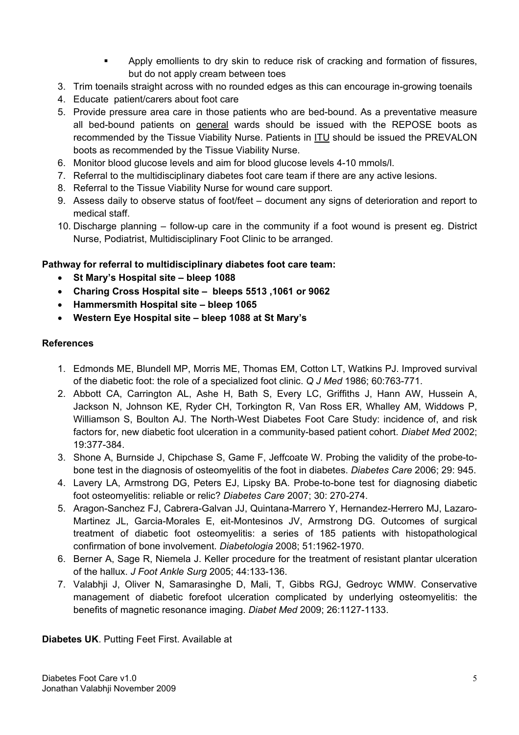- Apply emollients to dry skin to reduce risk of cracking and formation of fissures, but do not apply cream between toes
- 3. Trim toenails straight across with no rounded edges as this can encourage in-growing toenails
- 4. Educate patient/carers about foot care
- 5. Provide pressure area care in those patients who are bed-bound. As a preventative measure all bed-bound patients on general wards should be issued with the REPOSE boots as recommended by the Tissue Viability Nurse. Patients in ITU should be issued the PREVALON boots as recommended by the Tissue Viability Nurse.
- 6. Monitor blood glucose levels and aim for blood glucose levels 4-10 mmols/l.
- 7. Referral to the multidisciplinary diabetes foot care team if there are any active lesions.
- 8. Referral to the Tissue Viability Nurse for wound care support.
- 9. Assess daily to observe status of foot/feet document any signs of deterioration and report to medical staff.
- 10. Discharge planning follow-up care in the community if a foot wound is present eg. District Nurse, Podiatrist, Multidisciplinary Foot Clinic to be arranged.

#### Pathway for referral to multidisciplinary diabetes foot care team:

- St Mary's Hospital site bleep 1088
- Charing Cross Hospital site bleeps 5513 ,1061 or 9062
- Hammersmith Hospital site bleep 1065
- Western Eye Hospital site bleep 1088 at St Mary's

#### References

- 1. Edmonds ME, Blundell MP, Morris ME, Thomas EM, Cotton LT, Watkins PJ. Improved survival of the diabetic foot: the role of a specialized foot clinic. Q J Med 1986; 60:763-771.
- 2. Abbott CA, Carrington AL, Ashe H, Bath S, Every LC, Griffiths J, Hann AW, Hussein A, Jackson N, Johnson KE, Ryder CH, Torkington R, Van Ross ER, Whalley AM, Widdows P, Williamson S, Boulton AJ. The North-West Diabetes Foot Care Study: incidence of, and risk factors for, new diabetic foot ulceration in a community-based patient cohort. Diabet Med 2002; 19:377-384.
- 3. Shone A, Burnside J, Chipchase S, Game F, Jeffcoate W. Probing the validity of the probe-tobone test in the diagnosis of osteomyelitis of the foot in diabetes. Diabetes Care 2006; 29: 945.
- 4. Lavery LA, Armstrong DG, Peters EJ, Lipsky BA. Probe-to-bone test for diagnosing diabetic foot osteomyelitis: reliable or relic? Diabetes Care 2007; 30: 270-274.
- 5. Aragon-Sanchez FJ, Cabrera-Galvan JJ, Quintana-Marrero Y, Hernandez-Herrero MJ, Lazaro-Martinez JL, Garcia-Morales E, eit-Montesinos JV, Armstrong DG. Outcomes of surgical treatment of diabetic foot osteomyelitis: a series of 185 patients with histopathological confirmation of bone involvement. Diabetologia 2008; 51:1962-1970.
- 6. Berner A, Sage R, Niemela J. Keller procedure for the treatment of resistant plantar ulceration of the hallux. J Foot Ankle Surg 2005; 44:133-136.
- 7. Valabhji J, Oliver N, Samarasinghe D, Mali, T, Gibbs RGJ, Gedroyc WMW. Conservative management of diabetic forefoot ulceration complicated by underlying osteomyelitis: the benefits of magnetic resonance imaging. Diabet Med 2009; 26:1127-1133.

Diabetes UK. Putting Feet First. Available at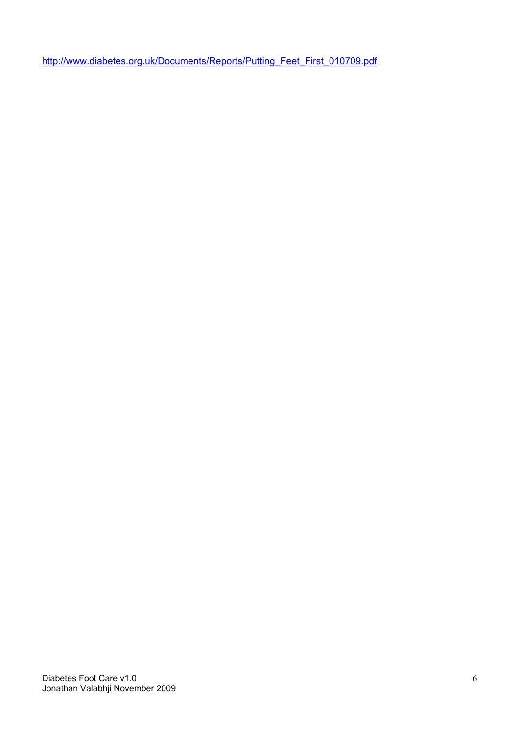[http://www.diabetes.org.uk/Documents/Reports/Putting\\_Feet\\_First\\_010709.pd](http://www.diabetes.org.uk/Documents/Reports/Putting_Feet_First_010709.pdf)f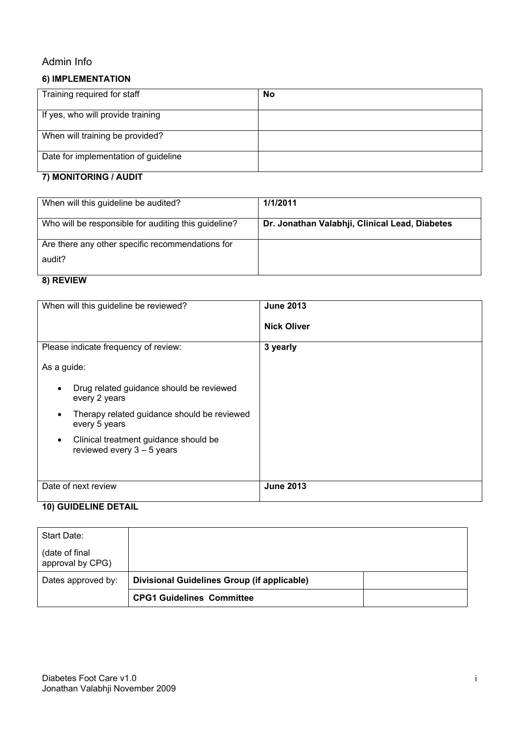# Admin Info

# 6) IMPLEMENTATION

| Training required for staff          | No |
|--------------------------------------|----|
| If yes, who will provide training    |    |
| When will training be provided?      |    |
| Date for implementation of guideline |    |

# 7) MONITORING / AUDIT

| When will this guideline be audited?                 | 1/1/2011                                       |
|------------------------------------------------------|------------------------------------------------|
| Who will be responsible for auditing this guideline? | Dr. Jonathan Valabhji, Clinical Lead, Diabetes |
| Are there any other specific recommendations for     |                                                |
| audit?                                               |                                                |

#### 8) REVIEW

| When will this guideline be reviewed?                                              | <b>June 2013</b><br><b>Nick Oliver</b> |
|------------------------------------------------------------------------------------|----------------------------------------|
| Please indicate frequency of review:                                               | 3 yearly                               |
| As a guide:                                                                        |                                        |
| Drug related guidance should be reviewed<br>every 2 years                          |                                        |
| Therapy related guidance should be reviewed<br>every 5 years                       |                                        |
| Clinical treatment guidance should be<br>$\bullet$<br>reviewed every $3 - 5$ years |                                        |
| Date of next review                                                                | <b>June 2013</b>                       |

#### 10) GUIDELINE DETAIL

| Start Date:                         |                                             |  |
|-------------------------------------|---------------------------------------------|--|
| (date of final)<br>approval by CPG) |                                             |  |
| Dates approved by:                  | Divisional Guidelines Group (if applicable) |  |
|                                     | <b>CPG1 Guidelines Committee</b>            |  |